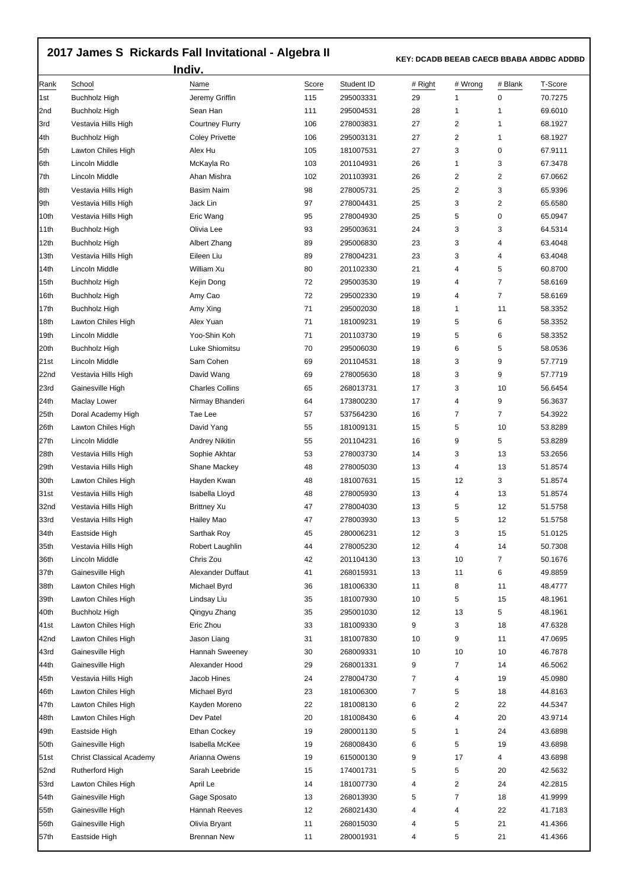## **2017 James S Rickards Fall Invitational - Algebra II**

 **KEY: DCADB BEEAB CAECB BBABA ABDBC ADDBD** 

| Indiv.      |                                 |                        |              |                         |                |                |              |                    |  |  |  |
|-------------|---------------------------------|------------------------|--------------|-------------------------|----------------|----------------|--------------|--------------------|--|--|--|
| Rank<br>1st | School<br><b>Buchholz High</b>  | Name<br>Jeremy Griffin | Score<br>115 | Student ID<br>295003331 | # Right<br>29  | # Wrong<br>1   | # Blank<br>0 | T-Score<br>70.7275 |  |  |  |
| 2nd         | <b>Buchholz High</b>            | Sean Han               | 111          | 295004531               | 28             | 1              | 1            | 69.6010            |  |  |  |
| 3rd         | Vestavia Hills High             | <b>Courtney Flurry</b> | 106          | 278003831               | 27             | 2              | 1            | 68.1927            |  |  |  |
| l4th        | Buchholz High                   | <b>Coley Privette</b>  | 106          | 295003131               | 27             | 2              | 1            | 68.1927            |  |  |  |
| 5th         | Lawton Chiles High              | Alex Hu                | 105          | 181007531               | 27             | 3              | 0            | 67.9111            |  |  |  |
| 6th         | Lincoln Middle                  | McKayla Ro             | 103          | 201104931               | 26             | 1              | 3            | 67.3478            |  |  |  |
| 7th         | Lincoln Middle                  | Ahan Mishra            | 102          | 201103931               | 26             | 2              | 2            | 67.0662            |  |  |  |
| 8th         | Vestavia Hills High             | <b>Basim Naim</b>      | 98           | 278005731               | 25             | 2              | 3            | 65.9396            |  |  |  |
| 9th         | Vestavia Hills High             | Jack Lin               | 97           | 278004431               | 25             | 3              | 2            | 65.6580            |  |  |  |
| 10th        | Vestavia Hills High             | Eric Wang              | 95           | 278004930               | 25             | 5              | 0            | 65.0947            |  |  |  |
| 11th        | Buchholz High                   | Olivia Lee             | 93           | 295003631               | 24             | 3              | 3            | 64.5314            |  |  |  |
| 12th        | Buchholz High                   | Albert Zhang           | 89           | 295006830               | 23             | 3              | 4            | 63.4048            |  |  |  |
| 13th        | Vestavia Hills High             | Eileen Liu             | 89           | 278004231               | 23             | 3              | 4            | 63.4048            |  |  |  |
| 14th        | Lincoln Middle                  | William Xu             | 80           | 201102330               | 21             | 4              | 5            | 60.8700            |  |  |  |
| 15th        | <b>Buchholz High</b>            | Kejin Dong             | 72           | 295003530               | 19             | 4              | 7            | 58.6169            |  |  |  |
| 16th        | Buchholz High                   | Amy Cao                | 72           | 295002330               | 19             | 4              | 7            | 58.6169            |  |  |  |
| 17th        | <b>Buchholz High</b>            | Amy Xing               | 71           | 295002030               | 18             | 1              | 11           | 58.3352            |  |  |  |
| 18th        | Lawton Chiles High              | Alex Yuan              | 71           | 181009231               | 19             | 5              | 6            | 58.3352            |  |  |  |
| 19th        | Lincoln Middle                  | Yoo-Shin Koh           | 71           | 201103730               | 19             | 5              | 6            | 58.3352            |  |  |  |
| 20th        | Buchholz High                   | Luke Shiomitsu         | 70           | 295006030               | 19             | 6              | 5            | 58.0536            |  |  |  |
| 21st        | Lincoln Middle                  | Sam Cohen              | 69           | 201104531               | 18             | 3              | 9            | 57.7719            |  |  |  |
|             |                                 | David Wang             |              |                         | 18             | 3              | 9            |                    |  |  |  |
| 22nd        | Vestavia Hills High             | <b>Charles Collins</b> | 69           | 278005630               | 17             | 3              | 10           | 57.7719            |  |  |  |
| 23rd        | Gainesville High                |                        | 65           | 268013731               | 17             | 4              | 9            | 56.6454<br>56.3637 |  |  |  |
| 24th        | Maclay Lower                    | Nirmay Bhanderi        | 64           | 173800230               |                |                |              |                    |  |  |  |
| 25th        | Doral Academy High              | Tae Lee                | 57           | 537564230               | 16             | 7              | 7            | 54.3922            |  |  |  |
| 26th        | Lawton Chiles High              | David Yang             | 55           | 181009131               | 15             | 5              | 10           | 53.8289            |  |  |  |
| 27th        | Lincoln Middle                  | Andrey Nikitin         | 55           | 201104231               | 16             | 9              | 5            | 53.8289            |  |  |  |
| 28th        | Vestavia Hills High             | Sophie Akhtar          | 53           | 278003730               | 14             | 3              | 13           | 53.2656            |  |  |  |
| 29th        | Vestavia Hills High             | Shane Mackey           | 48           | 278005030               | 13             | 4              | 13           | 51.8574            |  |  |  |
| 30th        | Lawton Chiles High              | Hayden Kwan            | 48           | 181007631               | 15             | 12             | 3            | 51.8574            |  |  |  |
| 31st        | Vestavia Hills High             | Isabella Lloyd         | 48           | 278005930               | 13             | 4              | 13           | 51.8574            |  |  |  |
| 32nd        | Vestavia Hills High             | <b>Brittney Xu</b>     | 47           | 278004030               | 13             | 5              | 12           | 51.5758            |  |  |  |
| 33rd        | Vestavia Hills High             | Hailey Mao             | 47           | 278003930               | 13             | 5              | 12           | 51.5758            |  |  |  |
| 34th        | Eastside High                   | Sarthak Roy            | 45           | 280006231               | 12             | 3              | 15           | 51.0125            |  |  |  |
| 35th        | Vestavia Hills High             | Robert Laughlin        | 44           | 278005230               | 12             | 4              | 14           | 50.7308            |  |  |  |
| 36th        | Lincoln Middle                  | Chris Zou              | 42           | 201104130               | 13             | 10             | 7            | 50.1676            |  |  |  |
| 37th        | Gainesville High                | Alexander Duffaut      | 41           | 268015931               | 13             | 11             | 6            | 49.8859            |  |  |  |
| 38th        | Lawton Chiles High              | Michael Byrd           | 36           | 181006330               | 11             | 8              | 11           | 48.4777            |  |  |  |
| 39th        | Lawton Chiles High              | Lindsay Liu            | 35           | 181007930               | 10             | 5              | 15           | 48.1961            |  |  |  |
| 40th        | <b>Buchholz High</b>            | Qingyu Zhang           | 35           | 295001030               | 12             | 13             | 5            | 48.1961            |  |  |  |
| 41st        | Lawton Chiles High              | Eric Zhou              | 33           | 181009330               | 9              | 3              | 18           | 47.6328            |  |  |  |
| 42nd        | Lawton Chiles High              | Jason Liang            | 31           | 181007830               | 10             | 9              | 11           | 47.0695            |  |  |  |
| 43rd        | Gainesville High                | Hannah Sweeney         | 30           | 268009331               | 10             | 10             | 10           | 46.7878            |  |  |  |
| 44th        | Gainesville High                | Alexander Hood         | 29           | 268001331               | 9              | $\overline{7}$ | 14           | 46.5062            |  |  |  |
| 45th        | Vestavia Hills High             | Jacob Hines            | 24           | 278004730               | $\overline{7}$ | 4              | 19           | 45.0980            |  |  |  |
| 46th        | Lawton Chiles High              | Michael Byrd           | 23           | 181006300               | $\overline{7}$ | 5              | 18           | 44.8163            |  |  |  |
| 47th        | Lawton Chiles High              | Kayden Moreno          | 22           | 181008130               | 6              | 2              | 22           | 44.5347            |  |  |  |
| 48th        | Lawton Chiles High              | Dev Patel              | 20           | 181008430               | 6              | 4              | 20           | 43.9714            |  |  |  |
| 49th        | Eastside High                   | Ethan Cockey           | 19           | 280001130               | 5              | 1              | 24           | 43.6898            |  |  |  |
| 50th        | Gainesville High                | Isabella McKee         | 19           | 268008430               | 6              | 5              | 19           | 43.6898            |  |  |  |
| 51st        | <b>Christ Classical Academy</b> | Arianna Owens          | 19           | 615000130               | 9              | 17             | 4            | 43.6898            |  |  |  |
| 52nd        | Rutherford High                 | Sarah Leebride         | 15           | 174001731               | 5              | 5              | 20           | 42.5632            |  |  |  |
| 53rd        | Lawton Chiles High              | April Le               | 14           | 181007730               | 4              | 2              | 24           | 42.2815            |  |  |  |
| 54th        | Gainesville High                | Gage Sposato           | 13           | 268013930               | 5              | 7              | 18           | 41.9999            |  |  |  |
| 55th        | Gainesville High                | Hannah Reeves          | 12           | 268021430               | 4              | 4              | 22           | 41.7183            |  |  |  |
| 56th        | Gainesville High                | Olivia Bryant          | 11           | 268015030               | 4              | 5              | 21           | 41.4366            |  |  |  |
| 57th        | Eastside High                   | <b>Brennan New</b>     | 11           | 280001931               | 4              | 5              | 21           | 41.4366            |  |  |  |
|             |                                 |                        |              |                         |                |                |              |                    |  |  |  |